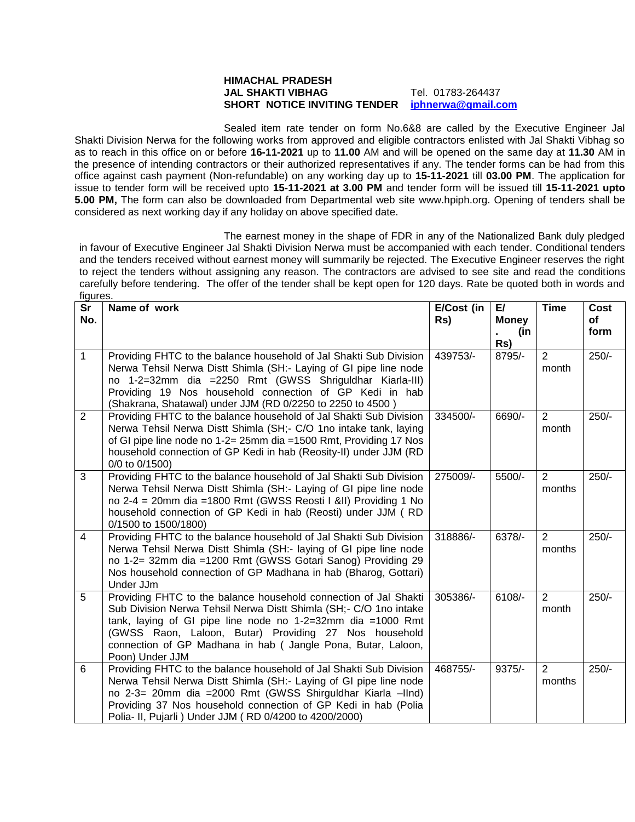## **HIMACHAL PRADESH JAL SHAKTI VIBHAG** Tel. 01783-264437 **SHORT NOTICE INVITING TENDER [iphnerwa@gmail.com](mailto:iphnerwa@gmail.com)**

Sealed item rate tender on form No.6&8 are called by the Executive Engineer Jal Shakti Division Nerwa for the following works from approved and eligible contractors enlisted with Jal Shakti Vibhag so as to reach in this office on or before **16-11-2021** up to **11.00** AM and will be opened on the same day at **11.30** AM in the presence of intending contractors or their authorized representatives if any. The tender forms can be had from this office against cash payment (Non-refundable) on any working day up to **15-11-2021** till **03.00 PM**. The application for issue to tender form will be received upto **15-11-2021 at 3.00 PM** and tender form will be issued till **15-11-2021 upto 5.00 PM,** The form can also be downloaded from Departmental web site www.hpiph.org. Opening of tenders shall be considered as next working day if any holiday on above specified date.

The earnest money in the shape of FDR in any of the Nationalized Bank duly pledged in favour of Executive Engineer Jal Shakti Division Nerwa must be accompanied with each tender. Conditional tenders and the tenders received without earnest money will summarily be rejected. The Executive Engineer reserves the right to reject the tenders without assigning any reason. The contractors are advised to see site and read the conditions carefully before tendering. The offer of the tender shall be kept open for 120 days. Rate be quoted both in words and figures.

| <b>Sr</b><br>No. | Name of work                                                                                                                                                                                                                                                                                                                                     | E/Cost (in<br>Rs) | E/<br><b>Money</b><br>(in | <b>Time</b>              | Cost<br>οf<br>form |
|------------------|--------------------------------------------------------------------------------------------------------------------------------------------------------------------------------------------------------------------------------------------------------------------------------------------------------------------------------------------------|-------------------|---------------------------|--------------------------|--------------------|
|                  |                                                                                                                                                                                                                                                                                                                                                  |                   | Rs)                       |                          |                    |
| $\mathbf{1}$     | Providing FHTC to the balance household of Jal Shakti Sub Division<br>Nerwa Tehsil Nerwa Distt Shimla (SH:- Laying of GI pipe line node<br>no 1-2=32mm dia =2250 Rmt (GWSS Shriguldhar Kiarla-III)<br>Providing 19 Nos household connection of GP Kedi in hab<br>(Shakrana, Shatawal) under JJM (RD 0/2250 to 2250 to 4500)                      | 439753/-          | 8795/-                    | 2<br>month               | $250/-$            |
| $\overline{2}$   | Providing FHTC to the balance household of Jal Shakti Sub Division<br>Nerwa Tehsil Nerwa Distt Shimla (SH;- C/O 1no intake tank, laying<br>of GI pipe line node no 1-2= 25mm dia = 1500 Rmt, Providing 17 Nos<br>household connection of GP Kedi in hab (Reosity-II) under JJM (RD<br>0/0 to 0/1500)                                             | 334500/-          | 6690/-                    | $\overline{2}$<br>month  | $250/-$            |
| 3                | Providing FHTC to the balance household of Jal Shakti Sub Division<br>Nerwa Tehsil Nerwa Distt Shimla (SH:- Laying of GI pipe line node<br>no 2-4 = 20mm dia =1800 Rmt (GWSS Reosti I &II) Providing 1 No<br>household connection of GP Kedi in hab (Reosti) under JJM (RD<br>0/1500 to 1500/1800)                                               | 275009/-          | 5500/-                    | $\overline{2}$<br>months | $250/-$            |
| $\overline{4}$   | Providing FHTC to the balance household of Jal Shakti Sub Division<br>Nerwa Tehsil Nerwa Distt Shimla (SH:- laying of GI pipe line node<br>no 1-2= 32mm dia =1200 Rmt (GWSS Gotari Sanog) Providing 29<br>Nos household connection of GP Madhana in hab (Bharog, Gottari)<br>Under JJm                                                           | 318886/-          | 6378/-                    | $\overline{2}$<br>months | $250/-$            |
| 5                | Providing FHTC to the balance household connection of Jal Shakti<br>Sub Division Nerwa Tehsil Nerwa Distt Shimla (SH;- C/O 1no intake<br>tank, laying of GI pipe line node no 1-2=32mm dia =1000 Rmt<br>(GWSS Raon, Laloon, Butar) Providing 27 Nos household<br>connection of GP Madhana in hab (Jangle Pona, Butar, Laloon,<br>Poon) Under JJM | 305386/-          | 6108/-                    | $\overline{2}$<br>month  | $250/-$            |
| 6                | Providing FHTC to the balance household of Jal Shakti Sub Division<br>Nerwa Tehsil Nerwa Distt Shimla (SH:- Laying of GI pipe line node<br>no 2-3= 20mm dia =2000 Rmt (GWSS Shirguldhar Kiarla -IInd)<br>Providing 37 Nos household connection of GP Kedi in hab (Polia<br>Polia- II, Pujarli ) Under JJM (RD 0/4200 to 4200/2000)               | 468755/-          | $9375/-$                  | $\overline{2}$<br>months | $250/-$            |